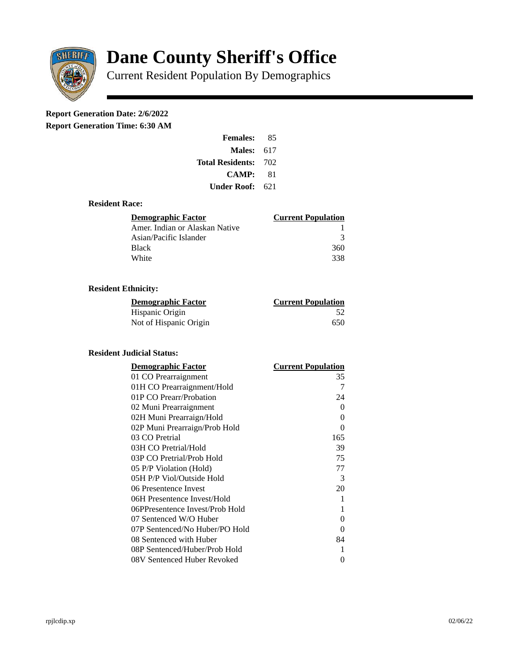

# **Dane County Sheriff's Office**

Current Resident Population By Demographics

## **Report Generation Date: 2/6/2022**

**Report Generation Time: 6:30 AM** 

| <b>Females:</b>         | 85  |
|-------------------------|-----|
| Males:                  | 617 |
| <b>Total Residents:</b> | 702 |
| <b>CAMP:</b>            | 81  |
| Under Roof: .           | 621 |

#### **Resident Race:**

| Demographic Factor             | <b>Current Population</b> |
|--------------------------------|---------------------------|
| Amer. Indian or Alaskan Native |                           |
| Asian/Pacific Islander         | ₹                         |
| <b>Black</b>                   | 360                       |
| White                          | 338                       |

### **Resident Ethnicity:**

| <u> Demographic Factor</u> | <b>Current Population</b> |
|----------------------------|---------------------------|
| Hispanic Origin            | 52                        |
| Not of Hispanic Origin     | 650                       |

#### **Resident Judicial Status:**

| <b>Demographic Factor</b>       | <b>Current Population</b> |
|---------------------------------|---------------------------|
| 01 CO Prearraignment            | 35                        |
| 01H CO Prearraignment/Hold      | 7                         |
| 01P CO Prearr/Probation         | 24                        |
| 02 Muni Prearraignment          | 0                         |
| 02H Muni Prearraign/Hold        | 0                         |
| 02P Muni Prearraign/Prob Hold   | $\Omega$                  |
| 03 CO Pretrial                  | 165                       |
| 03H CO Pretrial/Hold            | 39                        |
| 03P CO Pretrial/Prob Hold       | 75                        |
| 05 P/P Violation (Hold)         | 77                        |
| 05H P/P Viol/Outside Hold       | 3                         |
| 06 Presentence Invest           | 20                        |
| 06H Presentence Invest/Hold     | 1                         |
| 06PPresentence Invest/Prob Hold | 1                         |
| 07 Sentenced W/O Huber          | 0                         |
| 07P Sentenced/No Huber/PO Hold  | 0                         |
| 08 Sentenced with Huber         | 84                        |
| 08P Sentenced/Huber/Prob Hold   | 1                         |
| 08V Sentenced Huber Revoked     | 0                         |